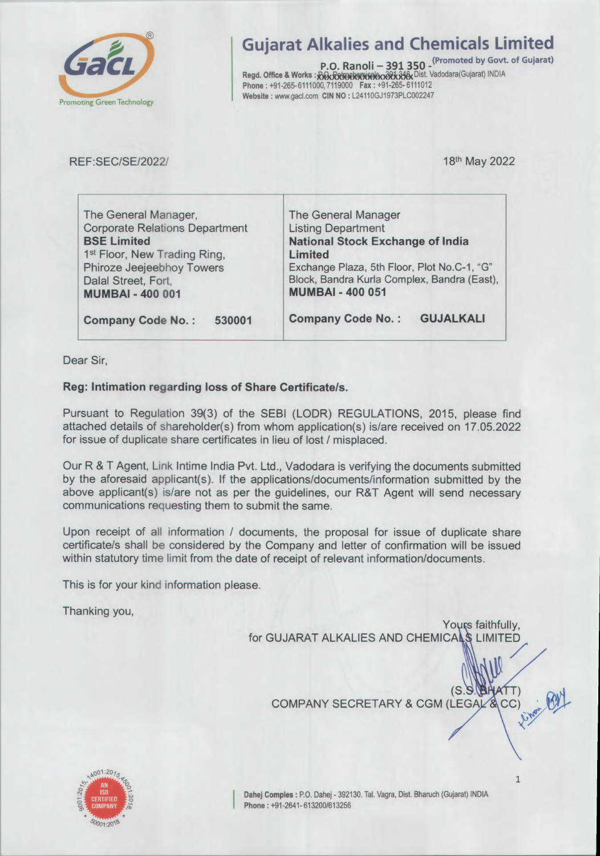

## **Gujarat Alkalies and Chemicals Limited**

P.O. Ranoli - 391 350 - <sup>(Promoted</sup> by Govt. of Gujarat) Regd. Office & Works : RGxR\$80808080823346xDist. Vadodara(Gujarat) INDIA<br>Phone : +91-265-6111000, 7119000 Fax : +91-265-6111012 Website: www.gacl.com CIN NO: L24110GJ1973PLC002247

REF:SEC/SE/2022/

18th May 2022

| The General Manager,                     | The General Manager                          |  |  |  |
|------------------------------------------|----------------------------------------------|--|--|--|
| <b>Corporate Relations Department</b>    | <b>Listing Department</b>                    |  |  |  |
| <b>BSE Limited</b>                       | <b>National Stock Exchange of India</b>      |  |  |  |
| 1 <sup>st</sup> Floor, New Trading Ring, | Limited                                      |  |  |  |
| Phiroze Jeejeebhoy Towers                | Exchange Plaza, 5th Floor, Plot No.C-1, "G"  |  |  |  |
| Dalal Street, Fort,                      | Block, Bandra Kurla Complex, Bandra (East),  |  |  |  |
| <b>MUMBAI - 400 001</b>                  | <b>MUMBAI - 400 051</b>                      |  |  |  |
| <b>Company Code No.:</b><br>530001       | <b>GUJALKALI</b><br><b>Company Code No.:</b> |  |  |  |

Dear Sir,

## Reg: Intimation regarding loss of Share Certificate/s.

Pursuant to Regulation 39(3) of the SEBI (LODR) REGULATIONS, 2015, please find attached details of shareholder(s) from whom application(s) is/are received on 17.05.2022 for issue of duplicate share certificates in lieu of lost / misplaced.

Our R & T Agent, Link Intime India Pvt. Ltd., Vadodara is verifying the documents submitted by the aforesaid applicant(s). If the applications/documents/information submitted by the above applicant(s) is/are not as per the guidelines, our R&T Agent will send necessary communications requesting them to submit the same.

Upon receipt of all information / documents, the proposal for issue of duplicate share certificate/s shall be considered by the Company and letter of confirmation will be issued within statutory time limit from the date of receipt of relevant information/documents.

This is for your kind information please.

Thanking you,

Yours faithfully, for GUJARAT ALKALIES AND CHEMICALS LIMITED

COMPANY SECRETARY & CGM (LEGAL & CC)



 $(S.S)$ 

**BHATT**